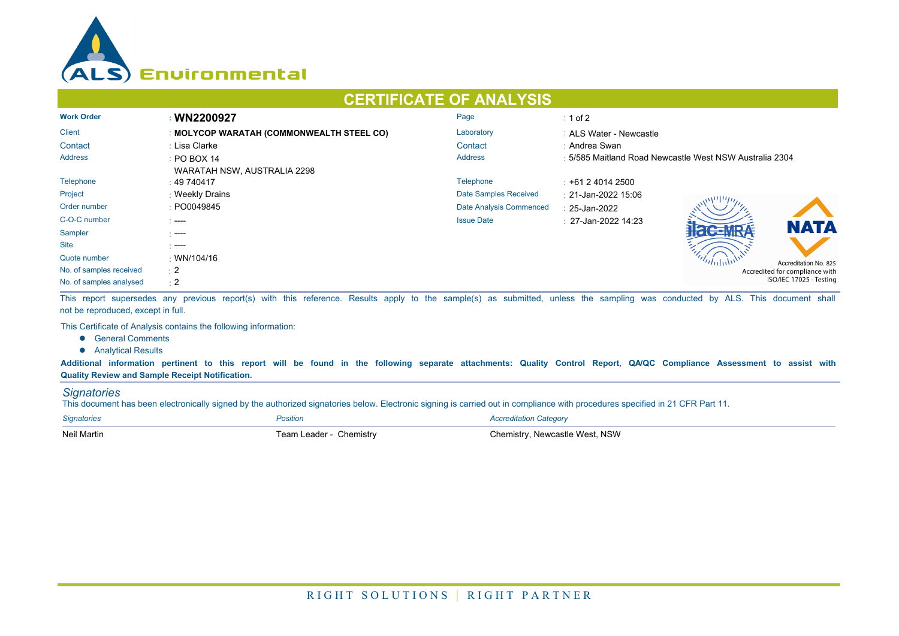

## **CERTIFICATE OF ANALYSIS**

| <b>Work Order</b>       | : WN2200927                               | Page                    | $\div$ 1 of 2                                           |  |  |
|-------------------------|-------------------------------------------|-------------------------|---------------------------------------------------------|--|--|
| <b>Client</b>           | : MOLYCOP WARATAH (COMMONWEALTH STEEL CO) | Laboratory              | : ALS Water - Newcastle                                 |  |  |
| Contact                 | : Lisa Clarke                             | Contact                 | : Andrea Swan                                           |  |  |
| Address                 | $\div$ PO BOX 14                          | <b>Address</b>          | : 5/585 Maitland Road Newcastle West NSW Australia 2304 |  |  |
|                         | WARATAH NSW, AUSTRALIA 2298               |                         |                                                         |  |  |
| Telephone               | $\pm 49\,740417$                          | Telephone               | $\pm$ +61 2 4014 2500                                   |  |  |
| Project                 | : Weekly Drains                           | Date Samples Received   | : 21-Jan-2022 15:06                                     |  |  |
| Order number            | : PO0049845                               | Date Analysis Commenced | $: 25$ -Jan-2022                                        |  |  |
| C-O-C number            | $\sim$ ----                               | <b>Issue Date</b>       | $\cdot$ 27-Jan-2022 14:23<br><b>NATA</b>                |  |  |
| Sampler                 | .                                         |                         |                                                         |  |  |
| <b>Site</b>             | $\sim$ ----                               |                         |                                                         |  |  |
| Quote number            | $\cdot$ WN/104/16                         |                         | Accreditation No. 825                                   |  |  |
| No. of samples received | $\pm 2$                                   |                         | Accredited for compliance with                          |  |  |
| No. of samples analysed | $\div 2$                                  |                         | ISO/IEC 17025 - Testing                                 |  |  |

This report supersedes any previous report(s) with this reference. Results apply to the sample(s) as submitted, unless the sampling was conducted by ALS. This document shall not be reproduced, except in full.

This Certificate of Analysis contains the following information:

- **•** General Comments
- **•** Analytical Results

**Additional information pertinent to this report will be found in the following separate attachments: Quality Control Report, QA/QC Compliance Assessment to assist with Quality Review and Sample Receipt Notification.**

## *Signatories*

This document has been electronically signed by the authorized signatories below. Electronic signing is carried out in compliance with procedures specified in 21 CFR Part 11.

| <b>Signatories</b> | Position                | <b>Accreditation Category</b>  |
|--------------------|-------------------------|--------------------------------|
| <b>Neil Martin</b> | Team Leader - Chemistry | Chemistry, Newcastle West, NSW |